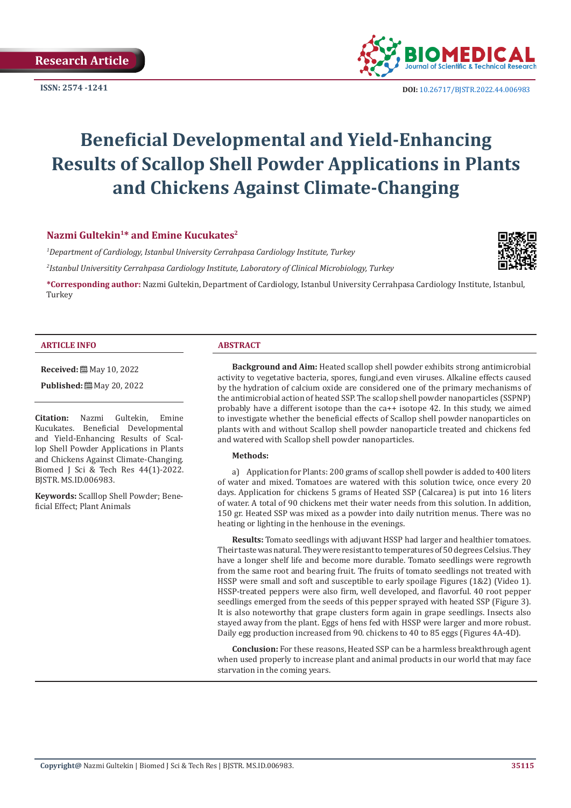

# **Beneficial Developmental and Yield-Enhancing Results of Scallop Shell Powder Applications in Plants and Chickens Against Climate-Changing**

#### **Nazmi Gultekin<sup>1</sup>\* and Emine Kucukates<sup>2</sup>**

*1 Department of Cardiology, Istanbul University Cerrahpasa Cardiology Institute, Turkey*

*2 Istanbul Universitity Cerrahpasa Cardiology Institute, Laboratory of Clinical Microbiology, Turkey*

**\*Corresponding author:** Nazmi Gultekin, Department of Cardiology, Istanbul University Cerrahpasa Cardiology Institute, Istanbul, Turkey

#### **ARTICLE INFO ABSTRACT**

**Received:** ■ May 10, 2022

**Published:** ■ May 20, 2022

**Citation:** Nazmi Gultekin, Emine Kucukates. Beneficial Developmental and Yield-Enhancing Results of Scallop Shell Powder Applications in Plants and Chickens Against Climate-Changing. Biomed J Sci & Tech Res 44(1)-2022. BJSTR. MS.ID.006983.

**Keywords:** Scalllop Shell Powder; Beneficial Effect; Plant Animals

**Background and Aim:** Heated scallop shell powder exhibits strong antimicrobial activity to vegetative bacteria, spores, fungi,and even viruses. Alkaline effects caused by the hydration of calcium oxide are considered one of the primary mechanisms of the antimicrobial action of heated SSP. The scallop shell powder nanoparticles (SSPNP) probably have a different isotope than the ca++ isotope 42. In this study, we aimed to investigate whether the beneficial effects of Scallop shell powder nanoparticles on plants with and without Scallop shell powder nanoparticle treated and chickens fed and watered with Scallop shell powder nanoparticles.

#### **Methods:**

a) Application for Plants: 200 grams of scallop shell powder is added to 400 liters of water and mixed. Tomatoes are watered with this solution twice, once every 20 days. Application for chickens 5 grams of Heated SSP (Calcarea) is put into 16 liters of water. A total of 90 chickens met their water needs from this solution. In addition, 150 gr. Heated SSP was mixed as a powder into daily nutrition menus. There was no heating or lighting in the henhouse in the evenings.

**Results:** Tomato seedlings with adjuvant HSSP had larger and healthier tomatoes. Their taste was natural. They were resistant to temperatures of 50 degrees Celsius. They have a longer shelf life and become more durable. Tomato seedlings were regrowth from the same root and bearing fruit. The fruits of tomato seedlings not treated with HSSP were small and soft and susceptible to early spoilage Figures (1&2) (Video 1). HSSP-treated peppers were also firm, well developed, and flavorful. 40 root pepper seedlings emerged from the seeds of this pepper sprayed with heated SSP (Figure 3). It is also noteworthy that grape clusters form again in grape seedlings. Insects also stayed away from the plant. Eggs of hens fed with HSSP were larger and more robust. Daily egg production increased from 90. chickens to 40 to 85 eggs (Figures 4A-4D).

**Conclusion:** For these reasons, Heated SSP can be a harmless breakthrough agent when used properly to increase plant and animal products in our world that may face starvation in the coming years.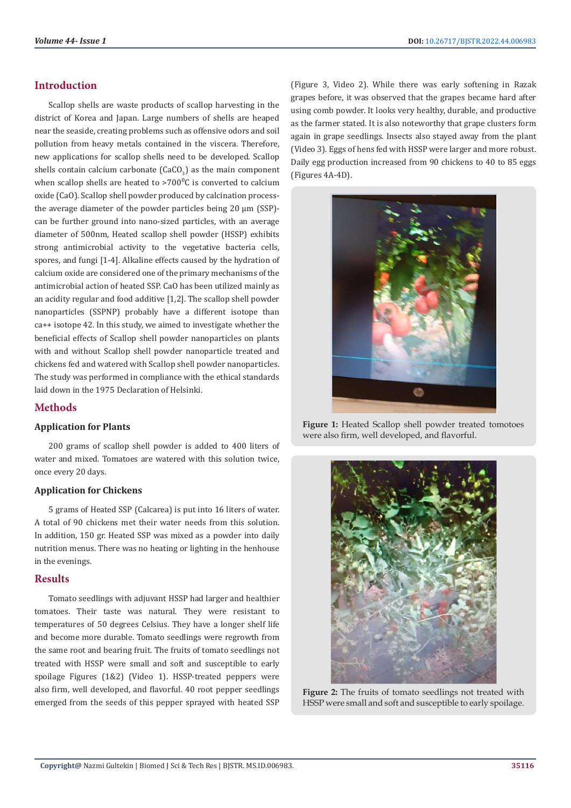# **Introduction**

Scallop shells are waste products of scallop harvesting in the district of Korea and Japan. Large numbers of shells are heaped near the seaside, creating problems such as offensive odors and soil pollution from heavy metals contained in the viscera. Therefore, new applications for scallop shells need to be developed. Scallop shells contain calcium carbonate (CaCO<sub>3</sub>) as the main component when scallop shells are heated to  $>700^{\circ}$ C is converted to calcium oxide (CaO). Scallop shell powder produced by calcination processthe average diameter of the powder particles being 20 µm (SSP) can be further ground into nano-sized particles, with an average diameter of 500nm, Heated scallop shell powder (HSSP) exhibits strong antimicrobial activity to the vegetative bacteria cells, spores, and fungi [1-4]. Alkaline effects caused by the hydration of calcium oxide are considered one of the primary mechanisms of the antimicrobial action of heated SSP. CaO has been utilized mainly as an acidity regular and food additive [1,2]. The scallop shell powder nanoparticles (SSPNP) probably have a different isotope than ca++ isotope 42. In this study, we aimed to investigate whether the beneficial effects of Scallop shell powder nanoparticles on plants with and without Scallop shell powder nanoparticle treated and chickens fed and watered with Scallop shell powder nanoparticles. The study was performed in compliance with the ethical standards laid down in the 1975 Declaration of Helsinki.

# **Methods**

### **Application for Plants**

200 grams of scallop shell powder is added to 400 liters of water and mixed. Tomatoes are watered with this solution twice, once every 20 days.

### **Application for Chickens**

5 grams of Heated SSP (Calcarea) is put into 16 liters of water. A total of 90 chickens met their water needs from this solution. In addition, 150 gr. Heated SSP was mixed as a powder into daily nutrition menus. There was no heating or lighting in the henhouse in the evenings.

### **Results**

Tomato seedlings with adjuvant HSSP had larger and healthier tomatoes. Their taste was natural. They were resistant to temperatures of 50 degrees Celsius. They have a longer shelf life and become more durable. Tomato seedlings were regrowth from the same root and bearing fruit. The fruits of tomato seedlings not treated with HSSP were small and soft and susceptible to early spoilage Figures (1&2) (Video 1). HSSP-treated peppers were also firm, well developed, and flavorful. 40 root pepper seedlings emerged from the seeds of this pepper sprayed with heated SSP

(Figure 3, Video 2). While there was early softening in Razak grapes before, it was observed that the grapes became hard after using comb powder. It looks very healthy, durable, and productive as the farmer stated. It is also noteworthy that grape clusters form again in grape seedlings. Insects also stayed away from the plant (Video 3). Eggs of hens fed with HSSP were larger and more robust. Daily egg production increased from 90 chickens to 40 to 85 eggs (Figures 4A-4D).



**Figure 1:** Heated Scallop shell powder treated tomotoes were also firm, well developed, and flavorful.



**Figure 2:** The fruits of tomato seedlings not treated with HSSP were small and soft and susceptible to early spoilage.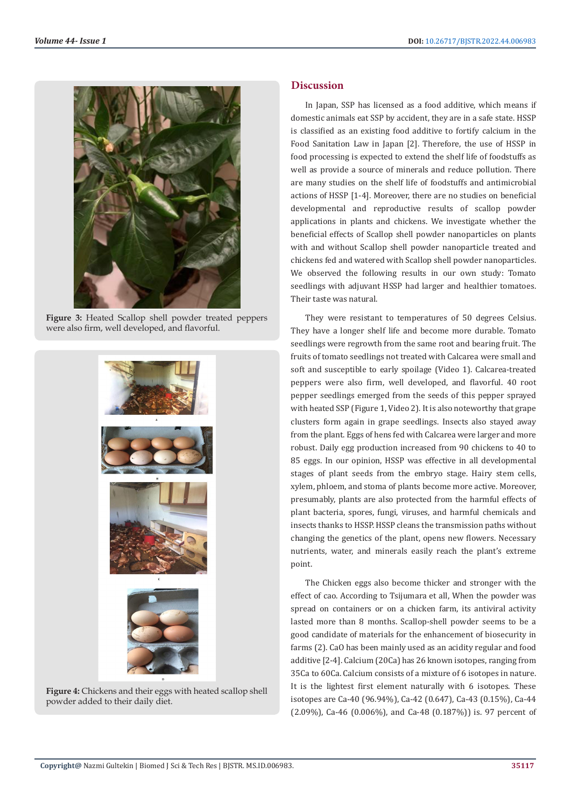

**Figure 3:** Heated Scallop shell powder treated peppers were also firm, well developed, and flavorful.



**Figure 4:** Chickens and their eggs with heated scallop shell powder added to their daily diet.

# **Discussion**

In Japan, SSP has licensed as a food additive, which means if domestic animals eat SSP by accident, they are in a safe state. HSSP is classified as an existing food additive to fortify calcium in the Food Sanitation Law in Japan [2]. Therefore, the use of HSSP in food processing is expected to extend the shelf life of foodstuffs as well as provide a source of minerals and reduce pollution. There are many studies on the shelf life of foodstuffs and antimicrobial actions of HSSP [1-4]. Moreover, there are no studies on beneficial developmental and reproductive results of scallop powder applications in plants and chickens. We investigate whether the beneficial effects of Scallop shell powder nanoparticles on plants with and without Scallop shell powder nanoparticle treated and chickens fed and watered with Scallop shell powder nanoparticles. We observed the following results in our own study: Tomato seedlings with adjuvant HSSP had larger and healthier tomatoes. Their taste was natural.

They were resistant to temperatures of 50 degrees Celsius. They have a longer shelf life and become more durable. Tomato seedlings were regrowth from the same root and bearing fruit. The fruits of tomato seedlings not treated with Calcarea were small and soft and susceptible to early spoilage (Video 1). Calcarea-treated peppers were also firm, well developed, and flavorful. 40 root pepper seedlings emerged from the seeds of this pepper sprayed with heated SSP (Figure 1, Video 2). It is also noteworthy that grape clusters form again in grape seedlings. Insects also stayed away from the plant. Eggs of hens fed with Calcarea were larger and more robust. Daily egg production increased from 90 chickens to 40 to 85 eggs. In our opinion, HSSP was effective in all developmental stages of plant seeds from the embryo stage. Hairy stem cells, xylem, phloem, and stoma of plants become more active. Moreover, presumably, plants are also protected from the harmful effects of plant bacteria, spores, fungi, viruses, and harmful chemicals and insects thanks to HSSP. HSSP cleans the transmission paths without changing the genetics of the plant, opens new flowers. Necessary nutrients, water, and minerals easily reach the plant's extreme point.

The Chicken eggs also become thicker and stronger with the effect of cao. According to Tsijumara et all, When the powder was spread on containers or on a chicken farm, its antiviral activity lasted more than 8 months. Scallop-shell powder seems to be a good candidate of materials for the enhancement of biosecurity in farms (2). CaO has been mainly used as an acidity regular and food additive [2-4]. Calcium (20Ca) has 26 known isotopes, ranging from 35Ca to 60Ca. Calcium consists of a mixture of 6 isotopes in nature. It is the lightest first element naturally with 6 isotopes. These isotopes are Ca-40 (96.94%), Ca-42 (0.647), Ca-43 (0.15%), Ca-44  $(2.09\%)$ , Ca-46  $(0.006\%)$ , and Ca-48  $(0.187\%)$  is. 97 percent of